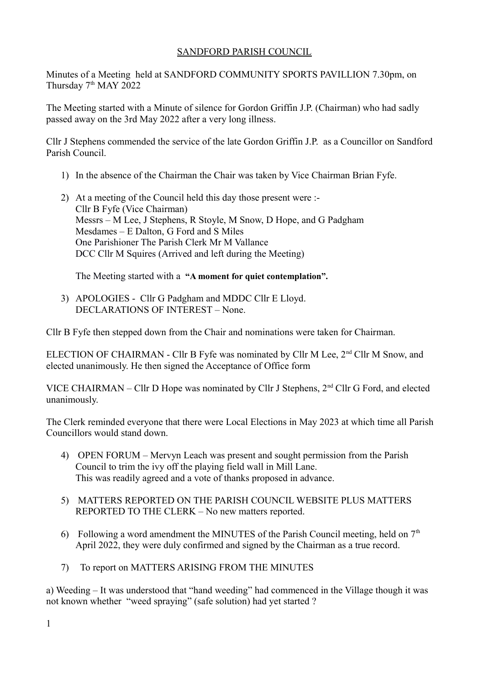## SANDFORD PARISH COUNCIL

Minutes of a Meeting held at SANDFORD COMMUNITY SPORTS PAVILLION 7.30pm, on Thursday 7<sup>th</sup> MAY 2022

The Meeting started with a Minute of silence for Gordon Griffin J.P. (Chairman) who had sadly passed away on the 3rd May 2022 after a very long illness.

Cllr J Stephens commended the service of the late Gordon Griffin J.P. as a Councillor on Sandford Parish Council.

- 1) In the absence of the Chairman the Chair was taken by Vice Chairman Brian Fyfe.
- 2) At a meeting of the Council held this day those present were :- Cllr B Fyfe (Vice Chairman) Messrs – M Lee, J Stephens, R Stoyle, M Snow, D Hope, and G Padgham Mesdames – E Dalton, G Ford and S Miles One Parishioner The Parish Clerk Mr M Vallance DCC Cllr M Squires (Arrived and left during the Meeting)

The Meeting started with a **"A moment for quiet contemplation".**

3) APOLOGIES - Cllr G Padgham and MDDC Cllr E Lloyd. DECLARATIONS OF INTEREST – None.

Cllr B Fyfe then stepped down from the Chair and nominations were taken for Chairman.

ELECTION OF CHAIRMAN - Cllr B Fyfe was nominated by Cllr M Lee, 2<sup>nd</sup> Cllr M Snow, and elected unanimously. He then signed the Acceptance of Office form

VICE CHAIRMAN – Cllr D Hope was nominated by Cllr J Stephens, 2nd Cllr G Ford, and elected unanimously.

The Clerk reminded everyone that there were Local Elections in May 2023 at which time all Parish Councillors would stand down.

- 4) OPEN FORUM Mervyn Leach was present and sought permission from the Parish Council to trim the ivy off the playing field wall in Mill Lane. This was readily agreed and a vote of thanks proposed in advance.
- 5) MATTERS REPORTED ON THE PARISH COUNCIL WEBSITE PLUS MATTERS REPORTED TO THE CLERK – No new matters reported.
- 6) Following a word amendment the MINUTES of the Parish Council meeting, held on  $7<sup>th</sup>$ April 2022, they were duly confirmed and signed by the Chairman as a true record.
- 7) To report on MATTERS ARISING FROM THE MINUTES

a) Weeding – It was understood that "hand weeding" had commenced in the Village though it was not known whether "weed spraying" (safe solution) had yet started ?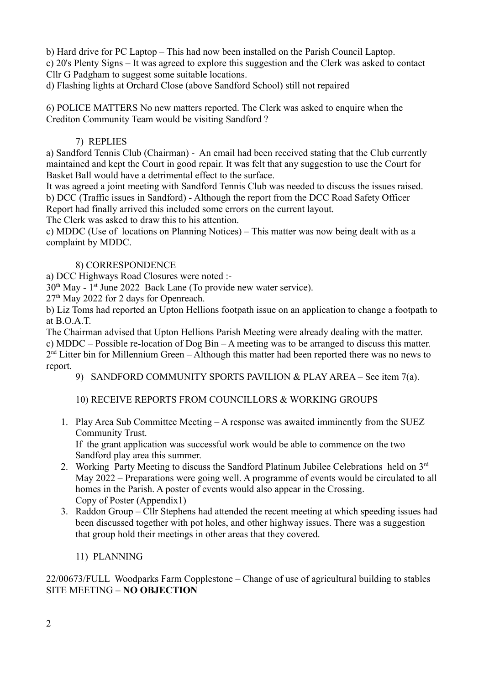b) Hard drive for PC Laptop – This had now been installed on the Parish Council Laptop.

c) 20's Plenty Signs – It was agreed to explore this suggestion and the Clerk was asked to contact Cllr G Padgham to suggest some suitable locations.

d) Flashing lights at Orchard Close (above Sandford School) still not repaired

6) POLICE MATTERS No new matters reported. The Clerk was asked to enquire when the Crediton Community Team would be visiting Sandford ?

## 7) REPLIES

a) Sandford Tennis Club (Chairman) - An email had been received stating that the Club currently maintained and kept the Court in good repair. It was felt that any suggestion to use the Court for Basket Ball would have a detrimental effect to the surface.

It was agreed a joint meeting with Sandford Tennis Club was needed to discuss the issues raised. b) DCC (Traffic issues in Sandford) - Although the report from the DCC Road Safety Officer Report had finally arrived this included some errors on the current layout.

The Clerk was asked to draw this to his attention.

c) MDDC (Use of locations on Planning Notices) – This matter was now being dealt with as a complaint by MDDC.

## 8) CORRESPONDENCE

a) DCC Highways Road Closures were noted :-

 $30<sup>th</sup>$  May - 1<sup>st</sup> June 2022 Back Lane (To provide new water service).

27th May 2022 for 2 days for Openreach.

b) Liz Toms had reported an Upton Hellions footpath issue on an application to change a footpath to at B.O.A.T.

The Chairman advised that Upton Hellions Parish Meeting were already dealing with the matter. c) MDDC – Possible re-location of Dog Bin – A meeting was to be arranged to discuss this matter.  $2<sup>nd</sup>$  Litter bin for Millennium Green – Although this matter had been reported there was no news to report.

9) SANDFORD COMMUNITY SPORTS PAVILION & PLAY AREA – See item 7(a).

10) RECEIVE REPORTS FROM COUNCILLORS & WORKING GROUPS

1. Play Area Sub Committee Meeting – A response was awaited imminently from the SUEZ Community Trust.

If the grant application was successful work would be able to commence on the two Sandford play area this summer.

- 2. Working Party Meeting to discuss the Sandford Platinum Jubilee Celebrations held on  $3<sup>rd</sup>$ May 2022 – Preparations were going well. A programme of events would be circulated to all homes in the Parish. A poster of events would also appear in the Crossing. Copy of Poster (Appendix1)
- 3. Raddon Group Cllr Stephens had attended the recent meeting at which speeding issues had been discussed together with pot holes, and other highway issues. There was a suggestion that group hold their meetings in other areas that they covered.
	- 11) PLANNING

22/00673/FULL Woodparks Farm Copplestone – Change of use of agricultural building to stables SITE MEETING – **NO OBJECTION**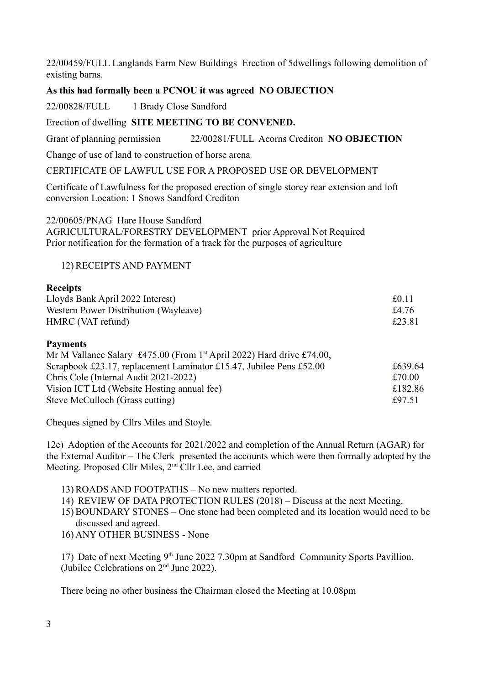22/00459/FULL Langlands Farm New Buildings Erection of 5dwellings following demolition of existing barns.

## **As this had formally been a PCNOU it was agreed NO OBJECTION**

22/00828/FULL 1 Brady Close Sandford

### Erection of dwelling **SITE MEETING TO BE CONVENED.**

Grant of planning permission 22/00281/FULL Acorns Crediton **NO OBJECTION**

Change of use of land to construction of horse arena

CERTIFICATE OF LAWFUL USE FOR A PROPOSED USE OR DEVELOPMENT

Certificate of Lawfulness for the proposed erection of single storey rear extension and loft conversion Location: 1 Snows Sandford Crediton

22/00605/PNAG Hare House Sandford

AGRICULTURAL/FORESTRY DEVELOPMENT prior Approval Not Required Prior notification for the formation of a track for the purposes of agriculture

### 12) RECEIPTS AND PAYMENT

#### **Receipts**

| Lloyds Bank April 2022 Interest)      | £0.11  |
|---------------------------------------|--------|
| Western Power Distribution (Wayleave) | £4.76  |
| HMRC (VAT refund)                     | £23.81 |

#### **Payments**

| Mr M Vallance Salary £475.00 (From 1 <sup>st</sup> April 2022) Hard drive £74.00, |         |
|-----------------------------------------------------------------------------------|---------|
| Scrapbook £23.17, replacement Laminator £15.47, Jubilee Pens £52.00               | £639.64 |
| Chris Cole (Internal Audit 2021-2022)                                             | £70.00  |
| Vision ICT Ltd (Website Hosting annual fee)                                       | £182.86 |
| Steve McCulloch (Grass cutting)                                                   | £97.51  |

Cheques signed by Cllrs Miles and Stoyle.

12c) Adoption of the Accounts for 2021/2022 and completion of the Annual Return (AGAR) for the External Auditor – The Clerk presented the accounts which were then formally adopted by the Meeting. Proposed Cllr Miles, 2<sup>nd</sup> Cllr Lee, and carried

13) ROADS AND FOOTPATHS – No new matters reported.

14) REVIEW OF DATA PROTECTION RULES (2018) – Discuss at the next Meeting.

15) BOUNDARY STONES – One stone had been completed and its location would need to be discussed and agreed.

16) ANY OTHER BUSINESS - None

17) Date of next Meeting  $9<sup>th</sup>$  June 2022 7.30pm at Sandford Community Sports Pavillion. (Jubilee Celebrations on  $2<sup>nd</sup>$  June 2022).

There being no other business the Chairman closed the Meeting at 10.08pm